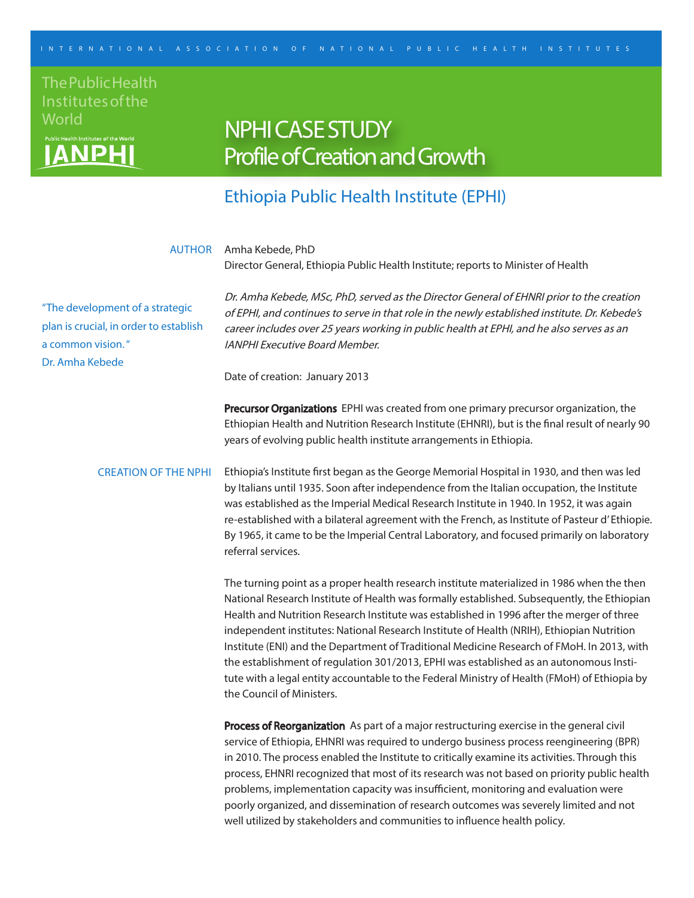#### I NT E R N A TI O N A L A SSOC I A TI O N O F N A TI O N A L P U B L I C HEAL TH I N S TITUTES

## The Public Health Institutes of the **World**

NPH

# NPHI case STUDY Profile of Creation and Growth

### Ethiopia Public Health Institute (EPHI)

| AUTHOR Amha Kebede, PhD                                                           |
|-----------------------------------------------------------------------------------|
| Director General, Ethiopia Public Health Institute; reports to Minister of Health |

"The development of a strategic plan is crucial, in order to establish a common vision. " Dr. Amha Kebede

Dr. Amha Kebede, MSc, PhD, served as the Director General of EHNRI prior to the creation of EPHI, and continues to serve in that role in the newly established institute. Dr. Kebede's career includes over 25 years working in public health at EPHI, and he also serves as an IANPHI Executive Board Member.

Date of creation: January 2013

**Precursor Organizations** EPHI was created from one primary precursor organization, the Ethiopian Health and Nutrition Research Institute (EHNRI), but is the final result of nearly 90 years of evolving public health institute arrangements in Ethiopia.

Creation of the NPHI Ethiopia's Institute first began as the George Memorial Hospital in 1930, and then was led by Italians until 1935. Soon after independence from the Italian occupation, the Institute was established as the Imperial Medical Research Institute in 1940. In 1952, it was again re-established with a bilateral agreement with the French, as Institute of Pasteur d' Ethiopie. By 1965, it came to be the Imperial Central Laboratory, and focused primarily on laboratory referral services.

> The turning point as a proper health research institute materialized in 1986 when the then National Research Institute of Health was formally established. Subsequently, the Ethiopian Health and Nutrition Research Institute was established in 1996 after the merger of three independent institutes: National Research Institute of Health (NRIH), Ethiopian Nutrition Institute (ENI) and the Department of Traditional Medicine Research of FMoH. In 2013, with the establishment of regulation 301/2013, EPHI was established as an autonomous Institute with a legal entity accountable to the Federal Ministry of Health (FMoH) of Ethiopia by the Council of Ministers.

> Process of Reorganization As part of a major restructuring exercise in the general civil service of Ethiopia, EHNRI was required to undergo business process reengineering (BPR) in 2010. The process enabled the Institute to critically examine its activities. Through this process, EHNRI recognized that most of its research was not based on priority public health problems, implementation capacity was insufficient, monitoring and evaluation were poorly organized, and dissemination of research outcomes was severely limited and not well utilized by stakeholders and communities to influence health policy.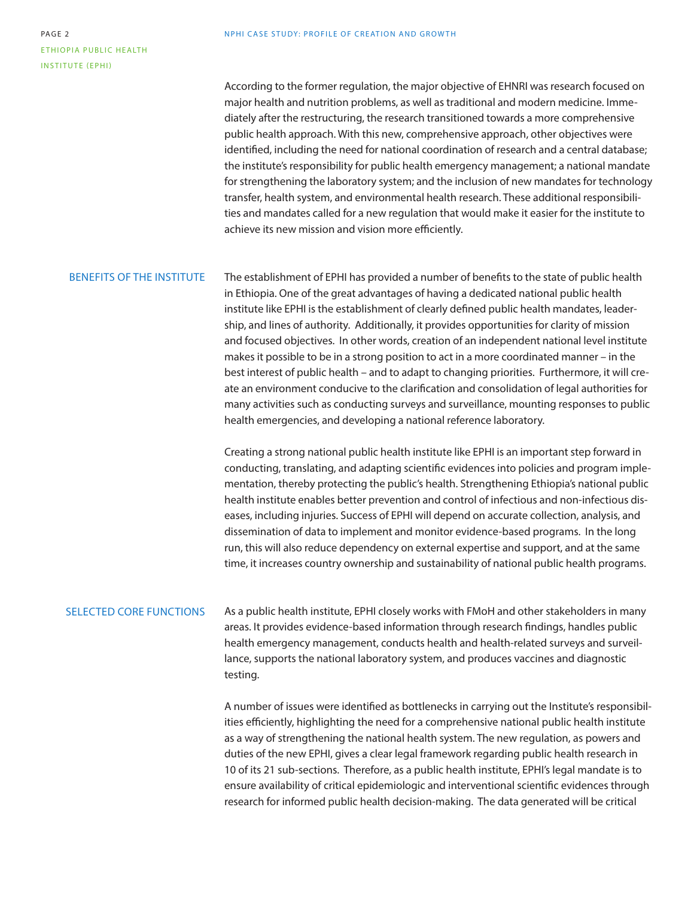#### page 2 ETHIOPIA PUBLIC HEALTH INSTITUTE (EPHI)

According to the former regulation, the major objective of EHNRI was research focused on major health and nutrition problems, as well as traditional and modern medicine. Immediately after the restructuring, the research transitioned towards a more comprehensive public health approach. With this new, comprehensive approach, other objectives were identified, including the need for national coordination of research and a central database; the institute's responsibility for public health emergency management; a national mandate for strengthening the laboratory system; and the inclusion of new mandates for technology transfer, health system, and environmental health research. These additional responsibilities and mandates called for a new regulation that would make it easier for the institute to achieve its new mission and vision more efficiently.

#### BENEFITS OF THE INSTITUTE

The establishment of EPHI has provided a number of benefits to the state of public health in Ethiopia. One of the great advantages of having a dedicated national public health institute like EPHI is the establishment of clearly defined public health mandates, leadership, and lines of authority. Additionally, it provides opportunities for clarity of mission and focused objectives. In other words, creation of an independent national level institute makes it possible to be in a strong position to act in a more coordinated manner – in the best interest of public health – and to adapt to changing priorities. Furthermore, it will create an environment conducive to the clarification and consolidation of legal authorities for many activities such as conducting surveys and surveillance, mounting responses to public health emergencies, and developing a national reference laboratory.

Creating a strong national public health institute like EPHI is an important step forward in conducting, translating, and adapting scientific evidences into policies and program implementation, thereby protecting the public's health. Strengthening Ethiopia's national public health institute enables better prevention and control of infectious and non-infectious diseases, including injuries. Success of EPHI will depend on accurate collection, analysis, and dissemination of data to implement and monitor evidence-based programs. In the long run, this will also reduce dependency on external expertise and support, and at the same time, it increases country ownership and sustainability of national public health programs.

#### SELECTED CORE FUNCTIONS

As a public health institute, EPHI closely works with FMoH and other stakeholders in many areas. It provides evidence-based information through research findings, handles public health emergency management, conducts health and health-related surveys and surveillance, supports the national laboratory system, and produces vaccines and diagnostic testing.

A number of issues were identified as bottlenecks in carrying out the Institute's responsibilities efficiently, highlighting the need for a comprehensive national public health institute as a way of strengthening the national health system. The new regulation, as powers and duties of the new EPHI, gives a clear legal framework regarding public health research in 10 of its 21 sub-sections. Therefore, as a public health institute, EPHI's legal mandate is to ensure availability of critical epidemiologic and interventional scientific evidences through research for informed public health decision-making. The data generated will be critical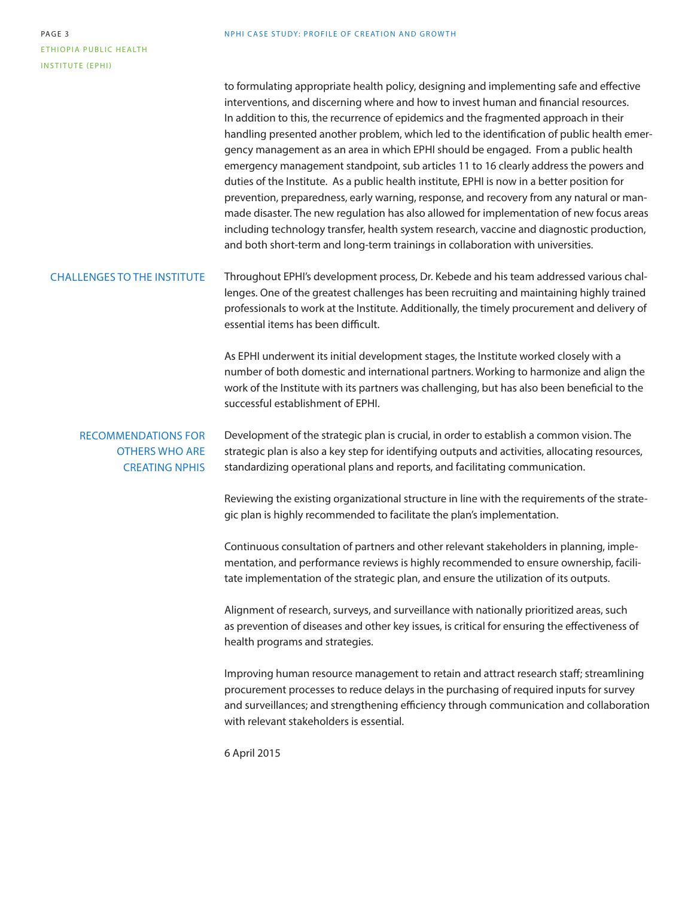to formulating appropriate health policy, designing and implementing safe and effective interventions, and discerning where and how to invest human and financial resources. In addition to this, the recurrence of epidemics and the fragmented approach in their handling presented another problem, which led to the identification of public health emergency management as an area in which EPHI should be engaged. From a public health emergency management standpoint, sub articles 11 to 16 clearly address the powers and duties of the Institute. As a public health institute, EPHI is now in a better position for prevention, preparedness, early warning, response, and recovery from any natural or manmade disaster. The new regulation has also allowed for implementation of new focus areas including technology transfer, health system research, vaccine and diagnostic production, and both short-term and long-term trainings in collaboration with universities.

Throughout EPHI's development process, Dr. Kebede and his team addressed various challenges. One of the greatest challenges has been recruiting and maintaining highly trained professionals to work at the Institute. Additionally, the timely procurement and delivery of essential items has been difficult. CHALLENGES TO THE INSTITUTE

> As EPHI underwent its initial development stages, the Institute worked closely with a number of both domestic and international partners. Working to harmonize and align the work of the Institute with its partners was challenging, but has also been beneficial to the successful establishment of EPHI.

#### Recommendations for Others Who Are **CREATING NPHIS**

Development of the strategic plan is crucial, in order to establish a common vision. The strategic plan is also a key step for identifying outputs and activities, allocating resources, standardizing operational plans and reports, and facilitating communication.

Reviewing the existing organizational structure in line with the requirements of the strategic plan is highly recommended to facilitate the plan's implementation.

Continuous consultation of partners and other relevant stakeholders in planning, implementation, and performance reviews is highly recommended to ensure ownership, facilitate implementation of the strategic plan, and ensure the utilization of its outputs.

Alignment of research, surveys, and surveillance with nationally prioritized areas, such as prevention of diseases and other key issues, is critical for ensuring the effectiveness of health programs and strategies.

Improving human resource management to retain and attract research staff; streamlining procurement processes to reduce delays in the purchasing of required inputs for survey and surveillances; and strengthening efficiency through communication and collaboration with relevant stakeholders is essential.

6 April 2015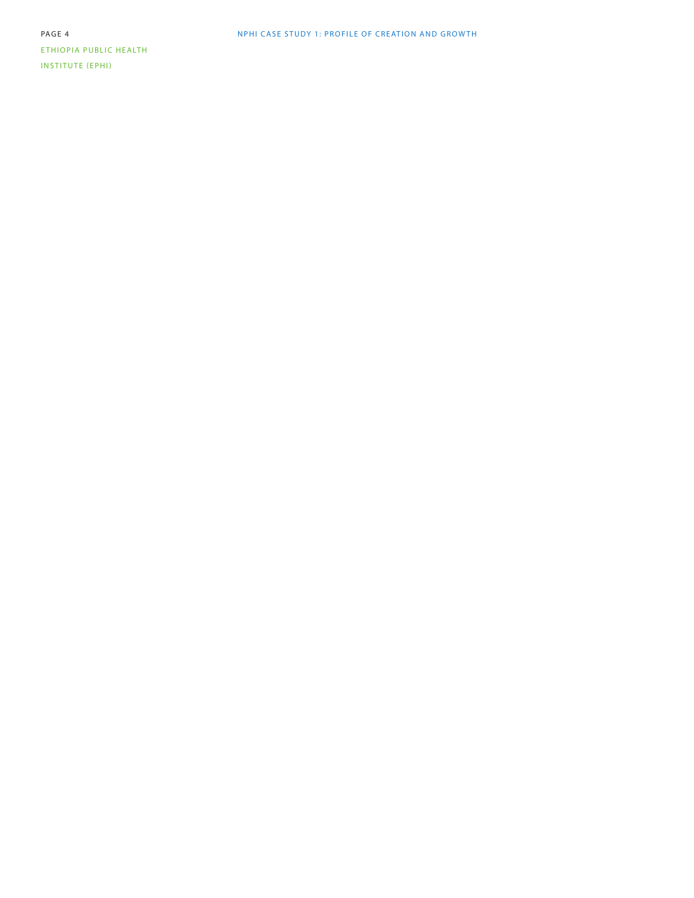PAGE 4 ETHIOPIA PUBLIC HEALTH INSTITUTE (EPHI)